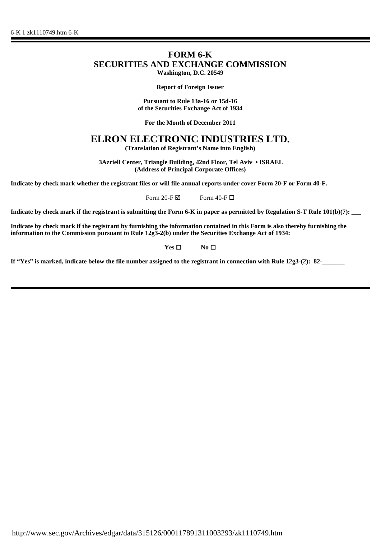## **FORM 6-K SECURITIES AND EXCHANGE COMMISSION Washington, D.C. 20549**

**Report of Foreign Issuer**

**Pursuant to Rule 13a-16 or 15d-16 of the Securities Exchange Act of 1934**

**For the Month of December 2011**

## **ELRON ELECTRONIC INDUSTRIES LTD.**

**(Translation of Registrant's Name into English)**

 **3Azrieli Center, Triangle Building, 42nd Floor, Tel Aviv • ISRAEL (Address of Principal Corporate Offices)**

**Indicate by check mark whether the registrant files or will file annual reports under cover Form 20-F or Form 40-F.**

Form 20-F $\boxtimes$  Form 40-F $\Box$ 

**Indicate by check mark if the registrant is submitting the Form 6-K in paper as permitted by Regulation S-T Rule 101(b)(7):** 

**Indicate by check mark if the registrant by furnishing the information contained in this Form is also thereby furnishing the information to the Commission pursuant to Rule 12g3-2(b) under the Securities Exchange Act of 1934:**

**Yes □** No **□** 

**If "Yes" is marked, indicate below the file number assigned to the registrant in connection with Rule 12g3-(2): 82-\_\_\_\_\_\_\_**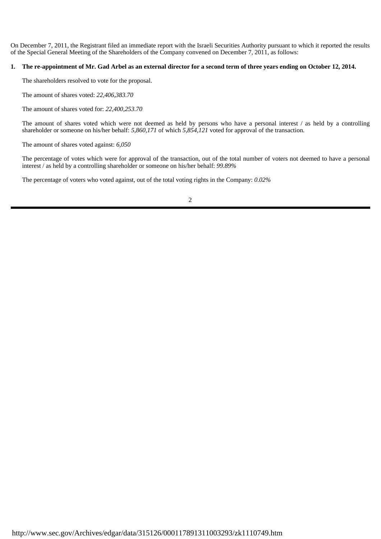On December 7, 2011, the Registrant filed an immediate report with the Israeli Securities Authority pursuant to which it reported the results of the Special General Meeting of the Shareholders of the Company convened on December 7, 2011, as follows:

## **1. The re-appointment of Mr. Gad Arbel as an external director for a second term of three years ending on October 12, 2014.**

The shareholders resolved to vote for the proposal.

The amount of shares voted: *22,406,383.70*

The amount of shares voted for: *22,400,253.70*

The amount of shares voted which were not deemed as held by persons who have a personal interest / as held by a controlling shareholder or someone on his/her behalf: *5,860,171* of which *5,854,121* voted for approval of the transaction.

The amount of shares voted against: *6,050*

The percentage of votes which were for approval of the transaction, out of the total number of voters not deemed to have a personal interest / as held by a controlling shareholder or someone on his/her behalf: *99.89%*

The percentage of voters who voted against, out of the total voting rights in the Company: *0.02%*